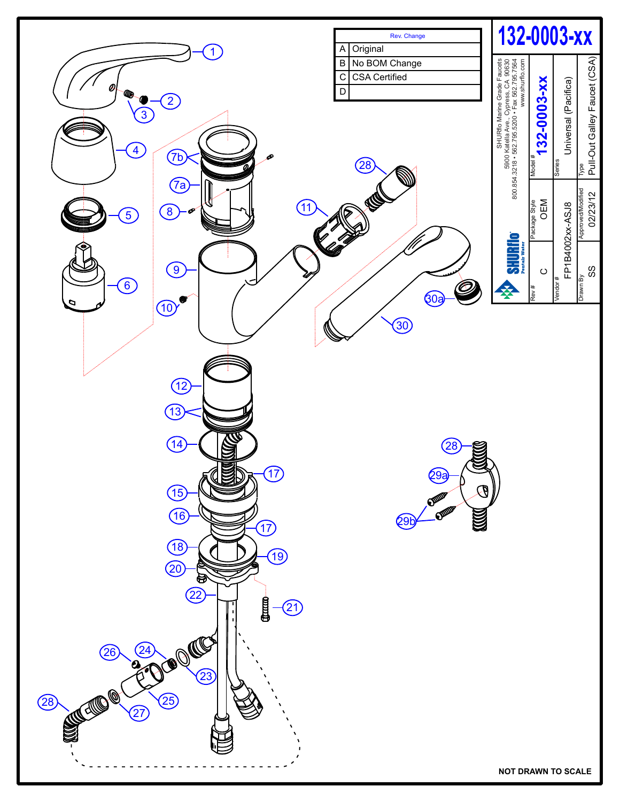